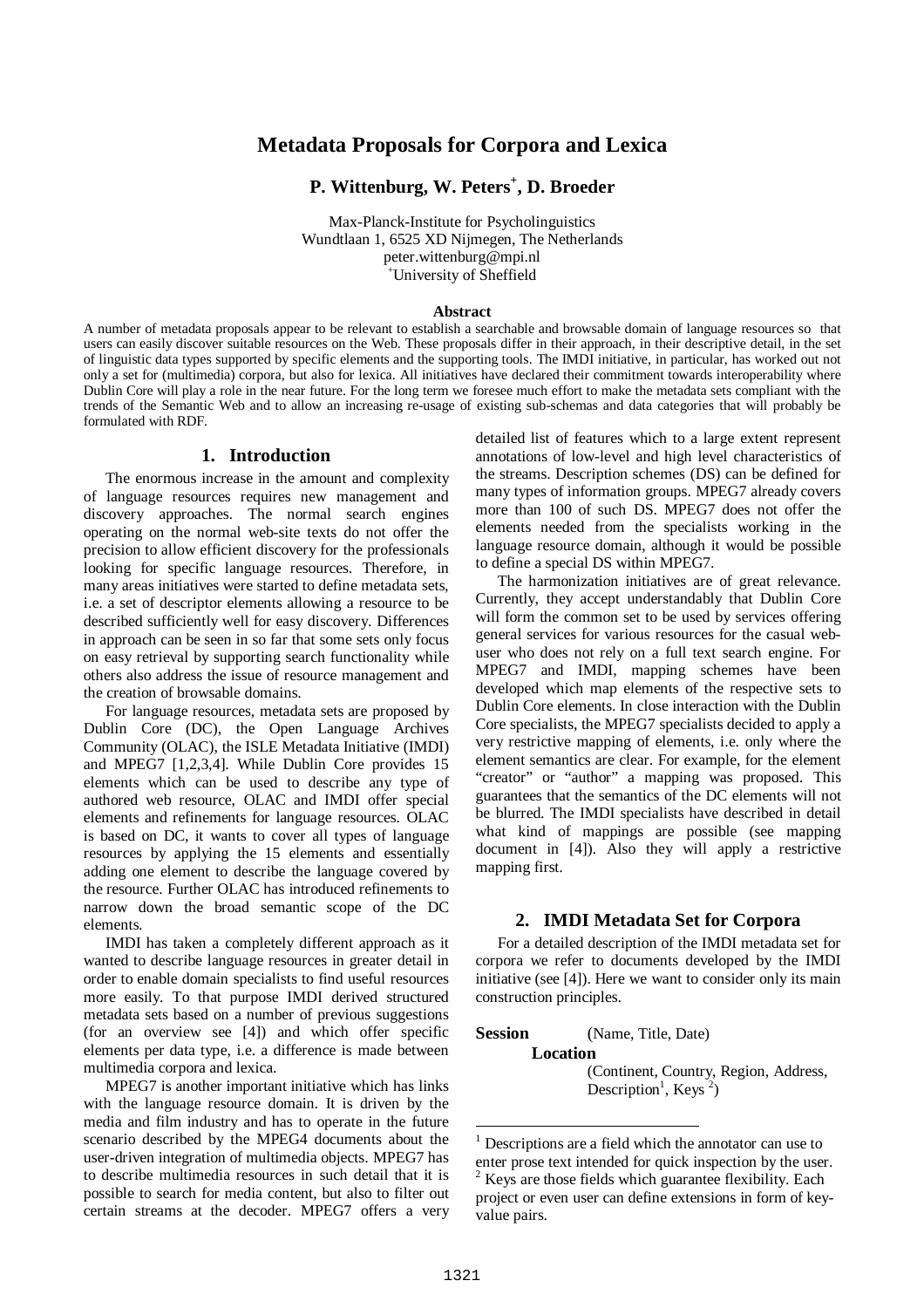## **Metadata Proposals for Corpora and Lexica**

## **P. Wittenburg, W. Peters + , D. Broeder**

Max-Planck-Institute for Psycholinguistics Wundtlaan 1, 6525 XD Nijmegen, The Netherlands peter.wittenburg@mpi.nl <sup>+</sup>University of Sheffield

#### **Abstract**

A number of metadata proposals appear to be relevant to establish a searchable and browsable domain of language resources so that users can easily discover suitable resources on the Web. These proposals differ in their approach, in their descriptive detail, in the set of linguistic data types supported by specific elements and the supporting tools. The IMDI initiative, in particular, has worked out not only a set for (multimedia) corpora, but also for lexica. All initiatives have declared their commitment towards interoperability where Dublin Core will play a role in the near future. For the long term we foresee much effort to make the metadata sets compliant with the trends of the Semantic Web and to allow an increasing re-usage of existing sub-schemas and data categories that will probably be formulated with RDF.

#### **1. Introduction**

The enormous increase in the amount and complexity of language resources requires new management and discovery approaches. The normal search engines operating on the normal web-site texts do not offer the precision to allow efficient discovery for the professionals looking for specific language resources. Therefore, in many areas initiatives were started to define metadata sets, i.e. a set of descriptor elements allowing a resource to be described sufficiently well for easy discovery. Differences in approach can be seen in so far that some sets only focus on easy retrieval by supporting search functionality while others also address the issue of resource management and the creation of browsable domains.

For language resources, metadata sets are proposed by Dublin Core (DC), the Open Language Archives Community (OLAC), the ISLE Metadata Initiative (IMDI) and MPEG7 [1,2,3,4]. While Dublin Core provides 15 elements which can be used to describe any type of authored web resource, OLAC and IMDI offer special elements and refinements for language resources. OLAC is based on DC, it wants to cover all types of language resources by applying the 15 elements and essentially adding one element to describe the language covered by the resource. Further OLAC has introduced refinements to narrow down the broad semantic scope of the DC elements.

IMDI has taken a completely different approach as it wanted to describe language resources in greater detail in order to enable domain specialists to find useful resources more easily. To that purpose IMDI derived structured metadata sets based on a number of previous suggestions (for an overview see [4]) and which offer specific elements per data type, i.e. a difference is made between multimedia corpora and lexica.

MPEG7 is another important initiative which has links with the language resource domain. It is driven by the media and film industry and has to operate in the future scenario described by the MPEG4 documents about the user-driven integration of multimedia objects. MPEG7 has to describe multimedia resources in such detail that it is possible to search for media content, but also to filter out certain streams at the decoder. MPEG7 offers a very detailed list of features which to a large extent represent annotations of low-level and high level characteristics of the streams. Description schemes (DS) can be defined for many types of information groups. MPEG7 already covers more than 100 of such DS. MPEG7 does not offer the elements needed from the specialists working in the language resource domain, although it would be possible to define a special DS within MPEG7.

The harmonization initiatives are of great relevance. Currently, they accept understandably that Dublin Core will form the common set to be used by services offering general services for various resources for the casual webuser who does not rely on a full text search engine. For MPEG7 and IMDI, mapping schemes have been developed which map elements of the respective sets to Dublin Core elements. In close interaction with the Dublin Core specialists, the MPEG7 specialists decided to apply a very restrictive mapping of elements, i.e. only where the element semantics are clear. For example, for the element "creator" or "author" a mapping was proposed. This guarantees that the semantics of the DC elements will not be blurred. The IMDI specialists have described in detail what kind of mappings are possible (see mapping document in [4]). Also they will apply a restrictive mapping first.

### **2. IMDI Metadata Set for Corpora**

For a detailed description of the IMDI metadata set for corpora we refer to documents developed by the IMDI initiative (see [4]). Here we want to consider only its main construction principles.

**Session** (Name, Title, Date) **Location** (Continent, Country, Region, Address, Description<sup>1</sup>, Keys<sup>2</sup>)

 $\overline{a}$ 

 $<sup>1</sup>$  Descriptions are a field which the annotator can use to</sup> enter prose text intended for quick inspection by the user. Keys are those fields which guarantee flexibility. Each project or even user can define extensions in form of keyvalue pairs.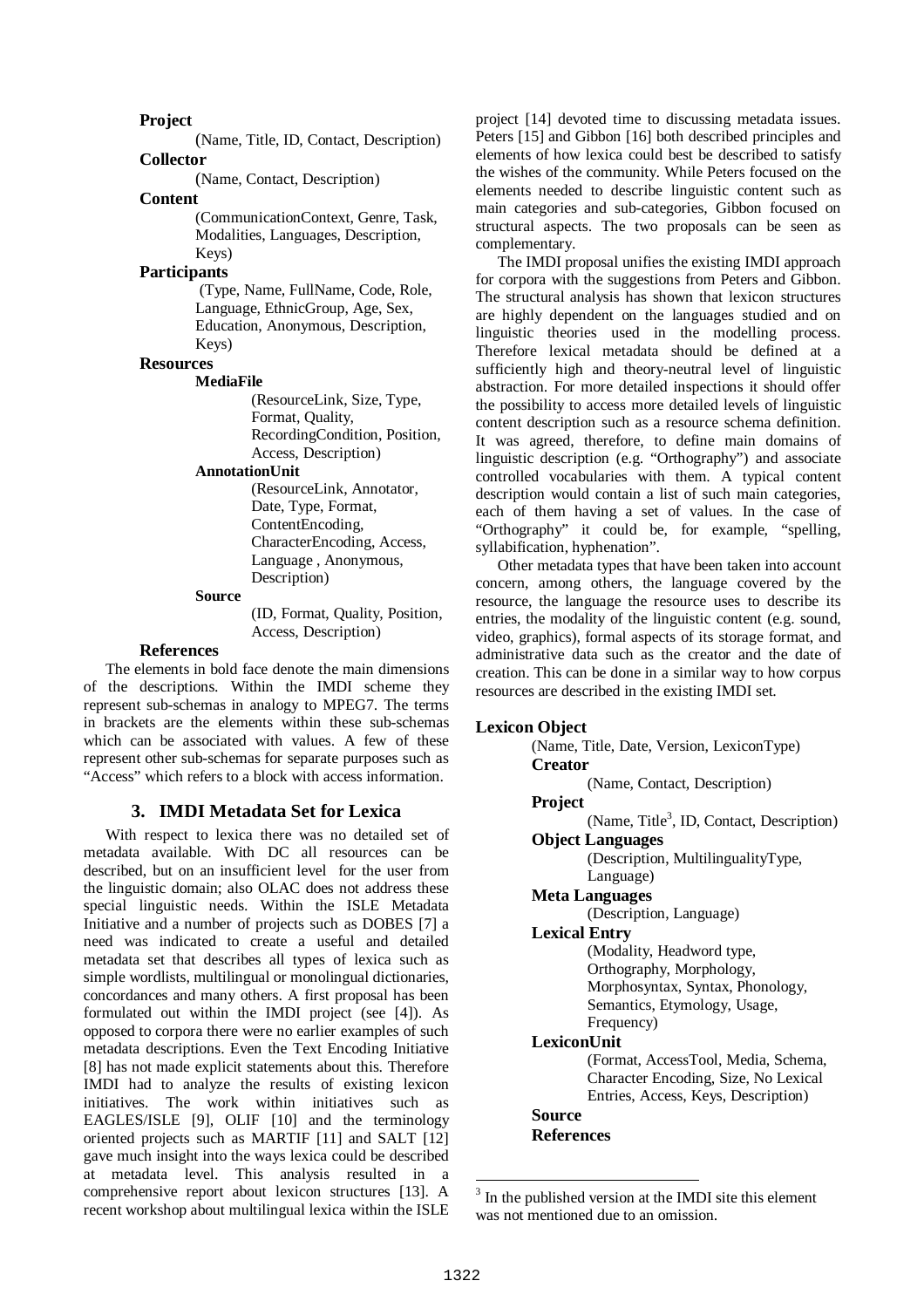**Project**

(Name, Title, ID, Contact, Description) **Collector**

(Name, Contact, Description)

#### **Content**

(CommunicationContext, Genre, Task, Modalities, Languages, Description, Keys)

## **Participants**

(Type, Name, FullName, Code, Role, Language, EthnicGroup, Age, Sex, Education, Anonymous, Description, Keys)

#### **Resources**

#### **MediaFile**

(ResourceLink, Size, Type, Format, Quality, RecordingCondition, Position, Access, Description)

#### **AnnotationUnit**

(ResourceLink, Annotator, Date, Type, Format, ContentEncoding, CharacterEncoding, Access, Language , Anonymous, Description)

#### **Source**

(ID, Format, Quality, Position, Access, Description)

#### **References**

The elements in bold face denote the main dimensions of the descriptions. Within the IMDI scheme they represent sub-schemas in analogy to MPEG7. The terms in brackets are the elements within these sub-schemas which can be associated with values. A few of these represent other sub-schemas for separate purposes such as " Access" which refers to a block with access information.

### **3. IMDI Metadata Set for Lexica**

With respect to lexica there was no detailed set of metadata available. With DC all resources can be described, but on an insufficient level for the user from the linguistic domain; also OLAC does not address these special linguistic needs. Within the ISLE Metadata Initiative and a number of projects such as DOBES [7] a need was indicated to create a useful and detailed metadata set that describes all types of lexica such as simple wordlists, multilingual or monolingual dictionaries, concordances and many others. A first proposal has been formulated out within the IMDI project (see [4]). As opposed to corpora there were no earlier examples of such metadata descriptions. Even the Text Encoding Initiative [8] has not made explicit statements about this. Therefore IMDI had to analyze the results of existing lexicon initiatives. The work within initiatives such as EAGLES/ISLE [9], OLIF [10] and the terminology oriented projects such as MARTIF [11] and SALT [12] gave much insight into the ways lexica could be described at metadata level. This analysis resulted in a comprehensive report about lexicon structures [13]. A recent workshop about multilingual lexica within the ISLE project [14] devoted time to discussing metadata issues. Peters [15] and Gibbon [16] both described principles and elements of how lexica could best be described to satisfy the wishes of the community. While Peters focused on the elements needed to describe linguistic content such as main categories and sub-categories, Gibbon focused on structural aspects. The two proposals can be seen as complementary.

The IMDI proposal unifies the existing IMDI approach for corpora with the suggestions from Peters and Gibbon. The structural analysis has shown that lexicon structures are highly dependent on the languages studied and on linguistic theories used in the modelling process. Therefore lexical metadata should be defined at a sufficiently high and theory-neutral level of linguistic abstraction. For more detailed inspections it should offer the possibility to access more detailed levels of linguistic content description such as a resource schema definition. It was agreed, therefore, to define main domains of linguistic description (e.g. "Orthography") and associate controlled vocabularies with them. A typical content description would contain a list of such main categories. each of them having a set of values. In the case of "Orthography" it could be, for example, "spelling, syllabification, hyphenation".

Other metadata types that have been taken into account concern, among others, the language covered by the resource, the language the resource uses to describe its entries, the modality of the linguistic content (e.g. sound, video, graphics), formal aspects of its storage format, and administrative data such as the creator and the date of creation. This can be done in a similar way to how corpus resources are described in the existing IMDI set.

#### **Lexicon Object**

(Name, Title, Date, Version, LexiconType) **Creator**

(Name, Contact, Description)

**Project**

(Name, Title<sup>3</sup>, ID, Contact, Description)

**Object Languages**

(Description, MultilingualityType,

# Language)

**Meta Languages** (Description, Language)

## **Lexical Entry**

(Modality, Headword type, Orthography, Morphology, Morphosyntax, Syntax, Phonology, Semantics, Etymology, Usage, Frequency)

#### **LexiconUnit**

(Format, AccessTool, Media, Schema, Character Encoding, Size, No Lexical Entries, Access, Keys, Description)

# **Source**

**References**

 $\overline{a}$ 

<sup>&</sup>lt;sup>3</sup> In the published version at the IMDI site this element was not mentioned due to an omission.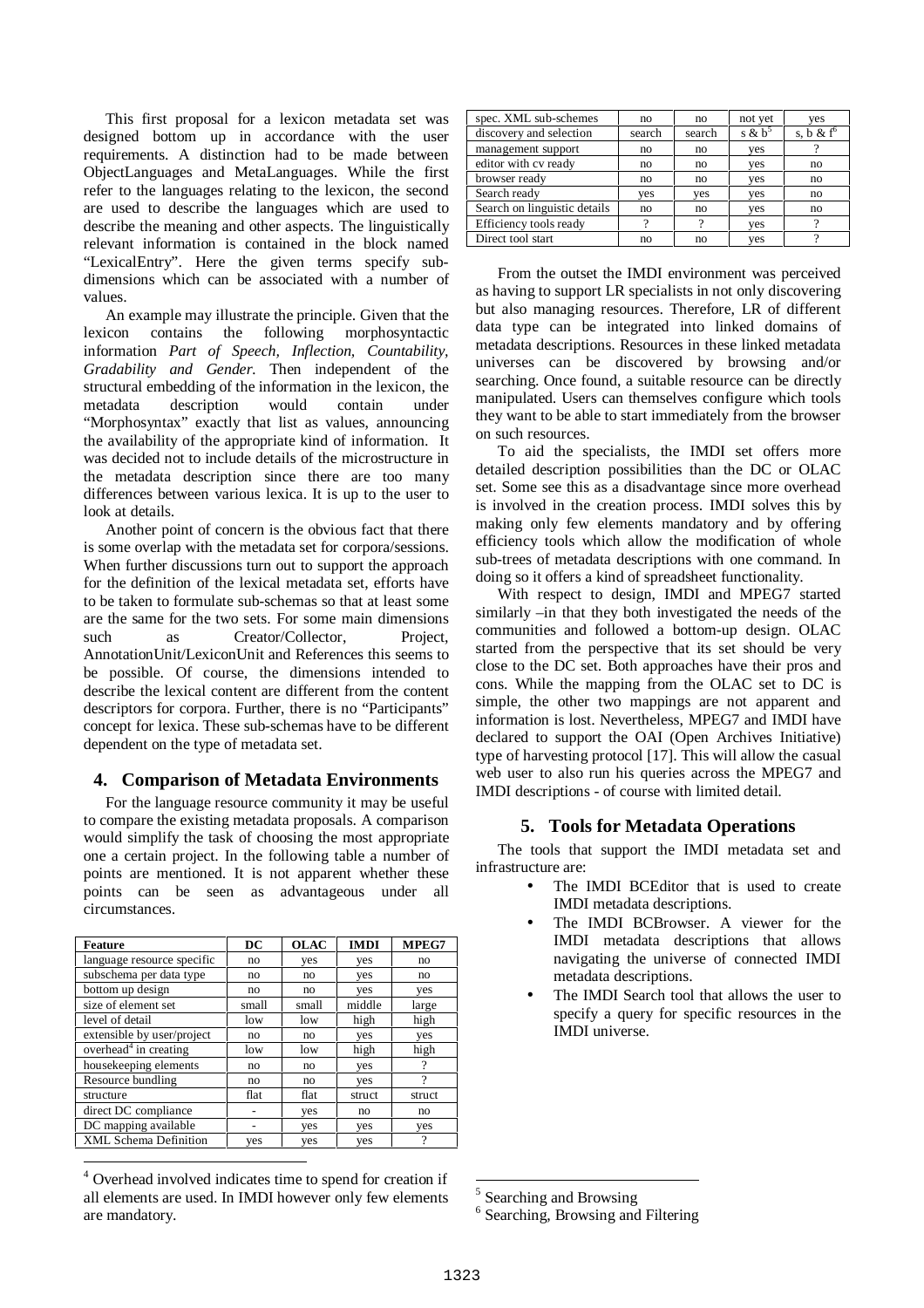This first proposal for a lexicon metadata set was designed bottom up in accordance with the user requirements. A distinction had to be made between ObjectLanguages and MetaLanguages. While the first refer to the languages relating to the lexicon, the second are used to describe the languages which are used to describe the meaning and other aspects. The linguistically relevant information is contained in the block named "LexicalEntry". Here the given terms specify subdimensions which can be associated with a number of values.

An example may illustrate the principle. Given that the lexicon contains the following morphosyntactic contains the following morphosyntactic information *Part of Speech, Inflection, Countability, Gradability and Gender.* Then independent of the structural embedding of the information in the lexicon, the metadata description would contain under " Morphosyntax" exactly that list as values, announcing the availability of the appropriate kind of information. It was decided not to include details of the microstructure in the metadata description since there are too many differences between various lexica. It is up to the user to look at details.

Another point of concern is the obvious fact that there is some overlap with the metadata set for corpora/sessions. When further discussions turn out to support the approach for the definition of the lexical metadata set, efforts have to be taken to formulate sub-schemas so that at least some are the same for the two sets. For some main dimensions such as Creator/Collector, Project, AnnotationUnit/LexiconUnit and References this seems to be possible. Of course, the dimensions intended to describe the lexical content are different from the content descriptors for corpora. Further, there is no "Participants" concept for lexica. These sub-schemas have to be different dependent on the type of metadata set.

## **4. Comparison of Metadata Environments**

For the language resource community it may be useful to compare the existing metadata proposals. A comparison would simplify the task of choosing the most appropriate one a certain project. In the following table a number of points are mentioned. It is not apparent whether these points can be seen as advantageous under all circumstances.

| <b>Feature</b>                    | DC    | <b>OLAC</b> | <b>IMDI</b> | MPEG7  |
|-----------------------------------|-------|-------------|-------------|--------|
| language resource specific        | no    | yes         | yes         | no     |
| subschema per data type           | no    | no          | yes         | no     |
| bottom up design                  | no    | no          | yes         | yes    |
| size of element set               | small | small       | middle      | large  |
| level of detail                   | low   | low         | high        | high   |
| extensible by user/project        | no    | no          | yes         | yes    |
| overhead <sup>4</sup> in creating | low   | low         | high        | high   |
| housekeeping elements             | no    | no          | yes         | 9      |
| Resource bundling                 | no    | no          | yes         | ?      |
| structure                         | flat  | flat        | struct      | struct |
| direct DC compliance              |       | yes         | no          | no     |
| DC mapping available              | ۰     | yes         | yes         | yes    |
| <b>XML Schema Definition</b>      | yes   | yes         | yes         | ?      |

<sup>4</sup> Overhead involved indicates time to spend for creation if all elements are used. In IMDI however only few elements are mandatory.

 $\overline{a}$ 

| spec. XML sub-schemes        | no            | no            | not yet   | ves                     |
|------------------------------|---------------|---------------|-----------|-------------------------|
| discovery and selection      | search        | search        | s & $b^5$ | s, b $&$ f <sup>o</sup> |
| management support           | no            | no            | yes       |                         |
| editor with cv ready         | no            | no            | yes       | no                      |
| browser ready                | no            | no            | yes       | no                      |
| Search ready                 | yes           | yes           | yes       | no                      |
| Search on linguistic details | no            | no            | yes       | no                      |
| Efficiency tools ready       | $\mathcal{P}$ | $\mathcal{P}$ | yes       | 9                       |
| Direct tool start            | no            | no            | yes       | າ                       |

From the outset the IMDI environment was perceived as having to support LR specialists in not only discovering but also managing resources. Therefore, LR of different data type can be integrated into linked domains of metadata descriptions. Resources in these linked metadata universes can be discovered by browsing and/or searching. Once found, a suitable resource can be directly manipulated. Users can themselves configure which tools they want to be able to start immediately from the browser on such resources.

To aid the specialists, the IMDI set offers more detailed description possibilities than the DC or OLAC set. Some see this as a disadvantage since more overhead is involved in the creation process. IMDI solves this by making only few elements mandatory and by offering efficiency tools which allow the modification of whole sub-trees of metadata descriptions with one command. In doing so it offers a kind of spreadsheet functionality.

With respect to design, IMDI and MPEG7 started similarly –in that they both investigated the needs of the communities and followed a bottom-up design. OLAC started from the perspective that its set should be very close to the DC set. Both approaches have their pros and cons. While the mapping from the OLAC set to DC is simple, the other two mappings are not apparent and information is lost. Nevertheless, MPEG7 and IMDI have declared to support the OAI (Open Archives Initiative) type of harvesting protocol [17]. This will allow the casual web user to also run his queries across the MPEG7 and IMDI descriptions - of course with limited detail.

### **5. Tools for Metadata Operations**

The tools that support the IMDI metadata set and infrastructure are:

- The IMDI BCE ditor that is used to create IMDI metadata descriptions.
- The IMDI BCBrowser. A viewer for the IMDI metadata descriptions that allows navigating the universe of connected IMDI metadata descriptions.
- The IMDI Search tool that allows the user to specify a query for specific resources in the IMDI universe.

<sup>&</sup>lt;sup>5</sup> Searching and Browsing

<sup>&</sup>lt;sup>6</sup> Searching, Browsing and Filtering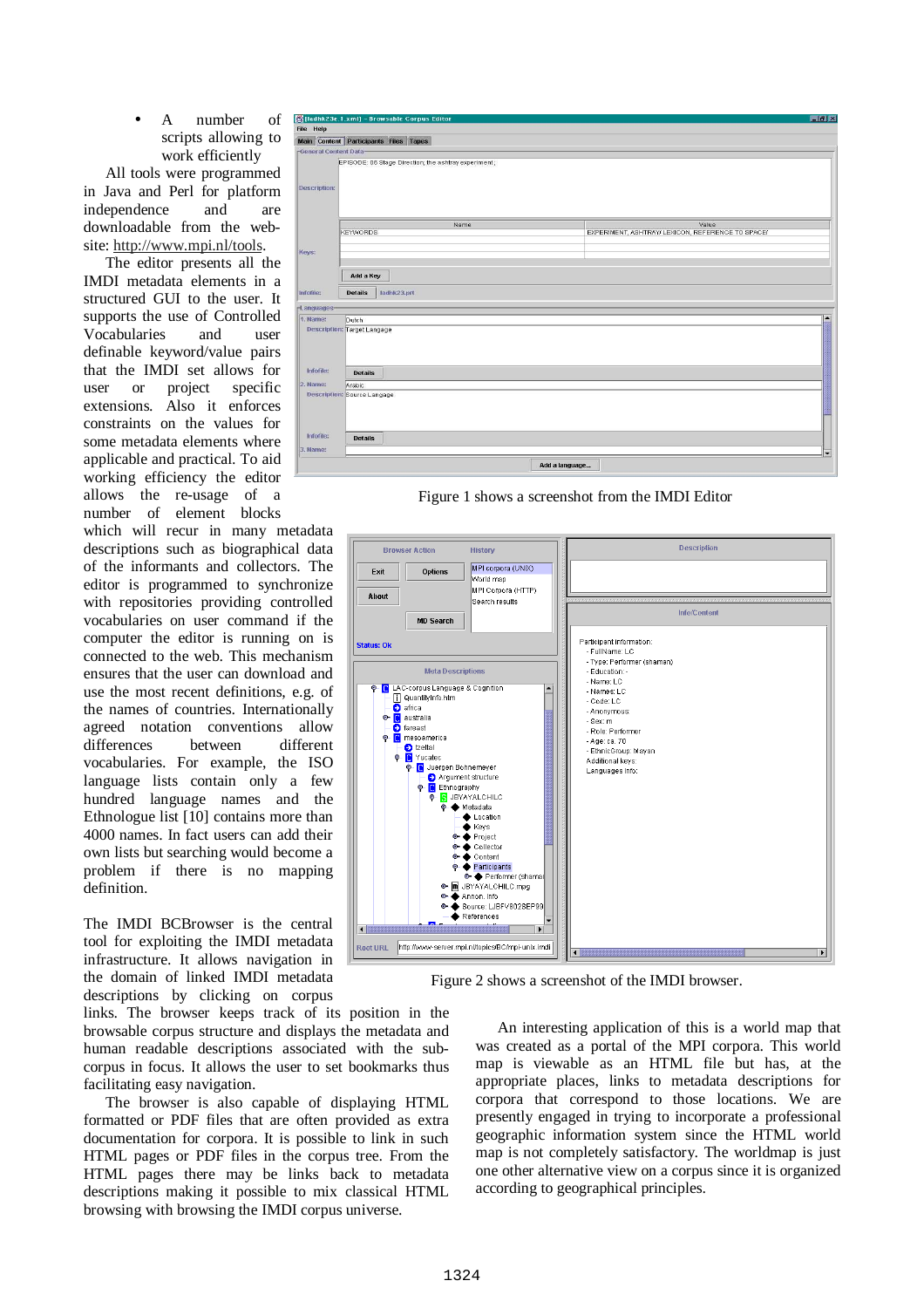A number of scripts allowing to work efficiently

All tools were programmed in Java and Perl for platform independence and are downloadable from the website: http://www.mpi.nl/tools.

The editor presents all the IMDI metadata elements in a structured GUI to the user. It supports the use of Controlled Vocabularies and user definable keyword/value pairs that the IMDI set allows for user or project specific extensions. Also it enforces constraints on the values for some metadata elements where applicable and practical. To aid working efficiency the editor allows the re-usage of a number of element blocks

which will recur in many metadata descriptions such as biographical data of the informants and collectors. The editor is programmed to synchronize with repositories providing controlled vocabularies on user command if the computer the editor is running on is connected to the web. This mechanism ensures that the user can download and use the most recent definitions, e.g. of the names of countries. Internationally agreed notation conventions allow differences between different vocabularies. For example, the ISO language lists contain only a few hundred language names and the Ethnologue list [10] contains more than 4000 names. In fact users can add their own lists but searching would become a problem if there is no mapping definition.

The IMDI BCBrowser is the central tool for exploiting the IMDI metadata infrastructure. It allows navigation in the domain of linked IMDI metadata descriptions by clicking on corpus

links. The browser keeps track of its position in the browsable corpus structure and displays the metadata and human readable descriptions associated with the subcorpus in focus. It allows the user to set bookmarks thus facilitating easy navigation.

The browser is also capable of displaying HTML formatted or PDF files that are often provided as extra documentation for corpora. It is possible to link in such HTML pages or PDF files in the corpus tree. From the HTML pages there may be links back to metadata descriptions making it possible to mix classical HTML browsing with browsing the IMDI corpus universe.



Figure 1 shows a screenshot from the IMDI Editor Figure 1 shows a screenshot from the IMDI Editor



Figure 2 shows a screenshot of the IMDI browser. Figure 2 shows a screenshot of the IMDI browser.

An interesting application of this is a world map that was created as a portal of the MPI corpora. This world map is viewable as an HTML file but has, at the appropriate places, links to metadata descriptions for corpora that correspond to those locations. We are presently engaged in trying to incorporate a professional geographic information system since the HTML world map is not completely satisfactory. The worldmap is just one other alternative view on a corpus since it is organized according to geographical principles.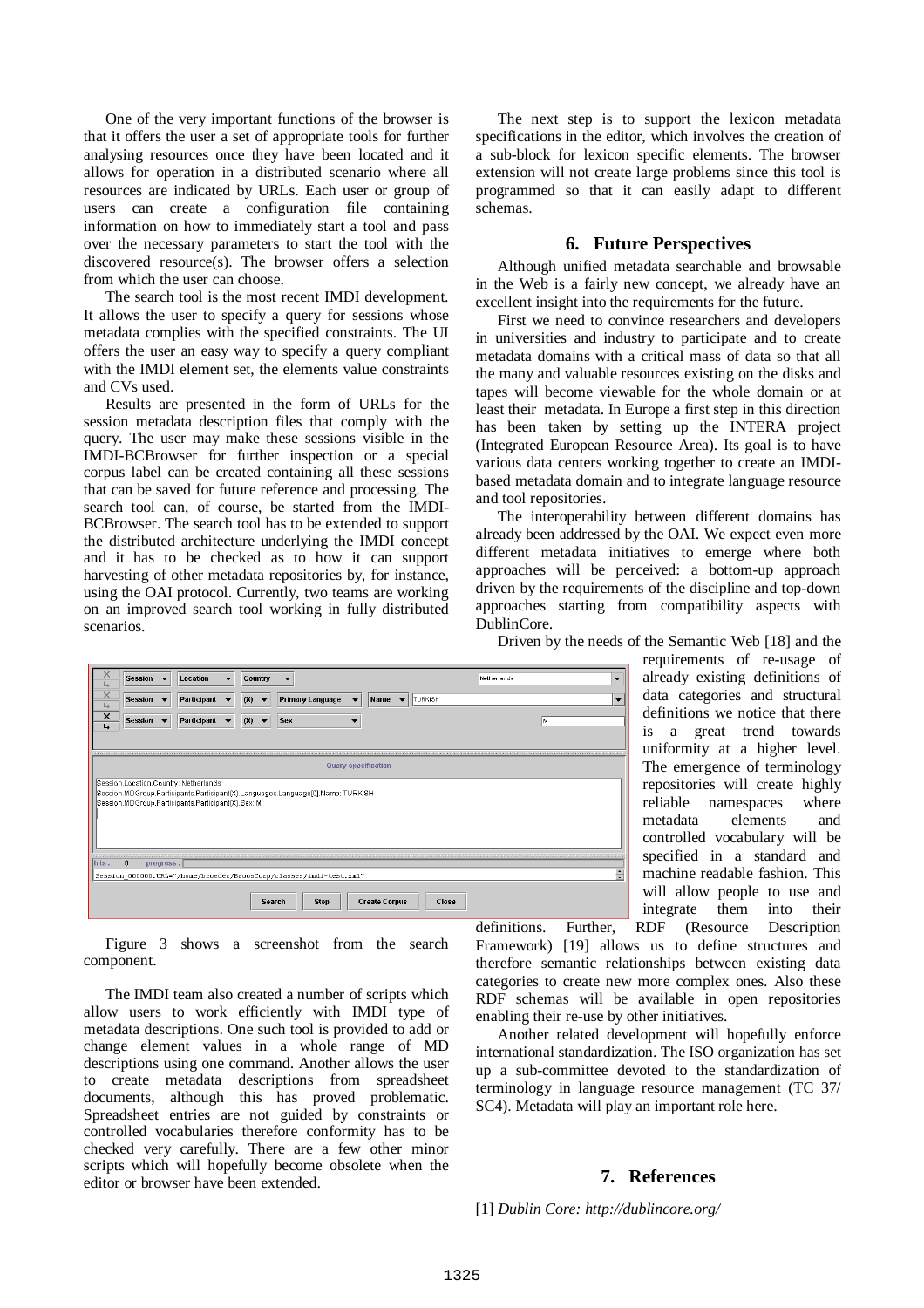One of the very important functions of the browser is that it offers the user a set of appropriate tools for further analysing resources once they have been located and it allows for operation in a distributed scenario where all resources are indicated by URLs. Each user or group of users can create a configuration file containing information on how to immediately start a tool and pass over the necessary parameters to start the tool with the discovered resource(s). The browser offers a selection from which the user can choose.

The search tool is the most recent IMDI development. It allows the user to specify a query for sessions whose metadata complies with the specified constraints. The UI offers the user an easy way to specify a query compliant with the IMDI element set, the elements value constraints and CVs used.

Results are presented in the form of URLs for the session metadata description files that comply with the query. The user may make these sessions visible in the IMDI-BCBrowser for further inspection or a special corpus label can be created containing all these sessions that can be saved for future reference and processing. The search tool can, of course, be started from the IMDI-BCBrowser. The search tool has to be extended to support the distributed architecture underlying the IMDI concept and it has to be checked as to how it can support harvesting of other metadata repositories by, for instance, using the OAI protocol. Currently, two teams are working on an improved search tool working in fully distributed scenarios.

The next step is to support the lexicon metadata specifications in the editor, which involves the creation of a sub-block for lexicon specific elements. The browser extension will not create large problems since this tool is programmed so that it can easily adapt to different schemas.

#### **6. Future Perspectives**

Although unified metadata searchable and browsable in the Web is a fairly new concept, we already have an excellent insight into the requirements for the future.

First we need to convince researchers and developers in universities and industry to participate and to create metadata domains with a critical mass of data so that all the many and valuable resources existing on the disks and tapes will become viewable for the whole domain or at least their metadata. In Europe a first step in this direction has been taken by setting up the INTERA project (Integrated European Resource Area). Its goal is to have various data centers working together to create an IMDIbased metadata domain and to integrate language resource and tool repositories.

The interoperability between different domains has already been addressed by the OAI. We expect even more different metadata initiatives to emerge where both approaches will be perceived: a bottom-up approach driven by the requirements of the discipline and top-down approaches starting from compatibility aspects with DublinCore.

| $\times$<br>↳                                                                   | <b>Session</b> |                          | Location    | $\blacksquare$ | Country |                          | ▼                                                                  |                          |                      |                          |         | Netherlands |    | $\overline{\phantom{a}}$ |
|---------------------------------------------------------------------------------|----------------|--------------------------|-------------|----------------|---------|--------------------------|--------------------------------------------------------------------|--------------------------|----------------------|--------------------------|---------|-------------|----|--------------------------|
| $\times$<br>$\overline{\phantom{a}}$                                            | <b>Session</b> | $\overline{\phantom{a}}$ | Participant |                | (X)     | $\overline{\phantom{a}}$ | <b>Primary Language</b>                                            | $\overline{\phantom{a}}$ | Name                 | $\overline{\phantom{a}}$ | TURKISH |             |    | $\overline{\phantom{a}}$ |
| ×<br>↳                                                                          | <b>Session</b> |                          | Participant |                | (X)     |                          | <b>Sex</b>                                                         |                          |                      |                          |         |             | lм |                          |
|                                                                                 |                |                          |             |                |         |                          |                                                                    |                          |                      |                          |         |             |    |                          |
|                                                                                 |                |                          |             |                |         |                          |                                                                    |                          |                      |                          |         |             |    |                          |
| Query specification                                                             |                |                          |             |                |         |                          |                                                                    |                          |                      |                          |         |             |    |                          |
| Session.Location.Country: Netherlands                                           |                |                          |             |                |         |                          |                                                                    |                          |                      |                          |         |             |    |                          |
| Session.MDGroup.Participants.Participant(X).Languages.Language[0].Name: TURKISH |                |                          |             |                |         |                          |                                                                    |                          |                      |                          |         |             |    |                          |
| Session.MDGroup.Participants.Participant(X).Sex: M                              |                |                          |             |                |         |                          |                                                                    |                          |                      |                          |         |             |    |                          |
|                                                                                 |                |                          |             |                |         |                          |                                                                    |                          |                      |                          |         |             |    |                          |
|                                                                                 |                |                          |             |                |         |                          |                                                                    |                          |                      |                          |         |             |    |                          |
|                                                                                 |                |                          |             |                |         |                          |                                                                    |                          |                      |                          |         |             |    |                          |
|                                                                                 |                |                          |             |                |         |                          |                                                                    |                          |                      |                          |         |             |    |                          |
| hits:                                                                           | $\mathbf 0$    | progress:                |             |                |         |                          |                                                                    |                          |                      |                          |         |             |    |                          |
|                                                                                 |                |                          |             |                |         |                          | Session 000000.URL="/home/broeder/BrowsCorp/classes/imdi-test.xml" |                          |                      |                          |         |             |    | $\blacktriangle$<br>Ψ    |
|                                                                                 |                |                          |             |                |         |                          |                                                                    |                          |                      |                          |         |             |    |                          |
|                                                                                 |                |                          |             |                |         | <b>Search</b>            | <b>Stop</b>                                                        |                          | <b>Create Corpus</b> |                          | Close   |             |    |                          |
|                                                                                 |                |                          |             |                |         |                          |                                                                    |                          |                      |                          |         |             |    |                          |

Figure 3 shows a screenshot from the search component.

The IMDI team also created a number of scripts which allow users to work efficiently with IMDI type of metadata descriptions. One such tool is provided to add or change element values in a whole range of MD descriptions using one command. Another allows the user to create metadata descriptions from spreadsheet documents, although this has proved problematic. Spreadsheet entries are not guided by constraints or controlled vocabularies therefore conformity has to be checked very carefully. There are a few other minor scripts which will hopefully become obsolete when the editor or browser have been extended.

Driven by the needs of the Semantic Web [18] and the

requirements of re-usage of already existing definitions of data categories and structural definitions we notice that there is a great trend towards uniformity at a higher level. The emergence of terminology repositories will create highly reliable namespaces where metadata elements and controlled vocabulary will be specified in a standard and machine readable fashion. This will allow people to use and integrate them into their definitions. Further, RDF (Resource Description

Framework) [19] allows us to define structures and therefore semantic relationships between existing data categories to create new more complex ones. Also these RDF schemas will be available in open repositories enabling their re-use by other initiatives.

Another related development will hopefully enforce international standardization. The ISO organization has set up a sub-committee devoted to the standardization of terminology in language resource management (TC 37/ SC4). Metadata will play an important role here.

#### **7. References**

[1] *Dublin Core: http://dublincore.org/*